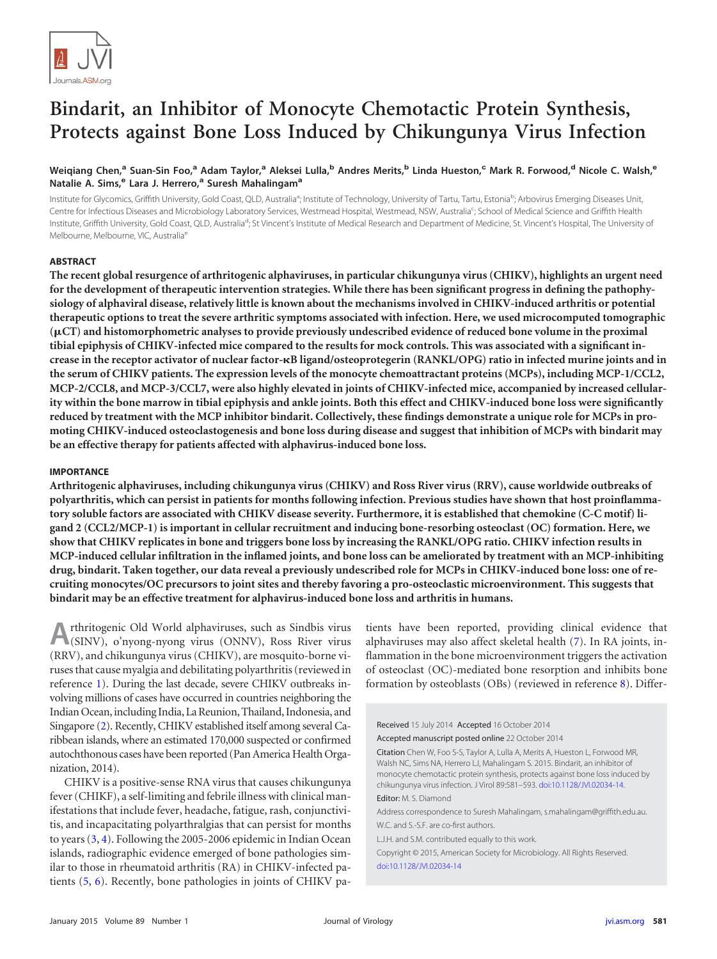

# **Bindarit, an Inhibitor of Monocyte Chemotactic Protein Synthesis, Protects against Bone Loss Induced by Chikungunya Virus Infection**

# Weiqiang Chen,<sup>a</sup> Suan-Sin Foo,<sup>a</sup> Adam Taylor,<sup>a</sup> Aleksei Lulla,<sup>b</sup> Andres Merits,<sup>b</sup> Linda Hueston,<sup>c</sup> Mark R. Forwood,<sup>d</sup> Nicole C. Walsh,<sup>e</sup> **Natalie A. Sims,<sup>e</sup> Lara J. Herrero,<sup>a</sup> Suresh Mahalingam<sup>a</sup>**

Institute for Glycomics, Griffith University, Gold Coast, QLD, Australia<sup>a</sup>; Institute of Technology, University of Tartu, Tartu, Estonia<sup>b</sup>; Arbovirus Emerging Diseases Unit, Centre for Infectious Diseases and Microbiology Laboratory Services, Westmead Hospital, Westmead, NSW, Australia<sup>c</sup>; School of Medical Science and Griffith Health Institute, Griffith University, Gold Coast, QLD, Australia<sup>d</sup>; St Vincent's Institute of Medical Research and Department of Medicine, St. Vincent's Hospital, The University of Melbourne, Melbourne, VIC, Australia<sup>e</sup>

## **ABSTRACT**

**The recent global resurgence of arthritogenic alphaviruses, in particular chikungunya virus (CHIKV), highlights an urgent need for the development of therapeutic intervention strategies. While there has been significant progress in defining the pathophysiology of alphaviral disease, relatively little is known about the mechanisms involved in CHIKV-induced arthritis or potential therapeutic options to treat the severe arthritic symptoms associated with infection. Here, we used microcomputed tomographic (**-**CT) and histomorphometric analyses to provide previously undescribed evidence of reduced bone volume in the proximal tibial epiphysis of CHIKV-infected mice compared to the results for mock controls. This was associated with a significant increase in the receptor activator of nuclear factor-B ligand/osteoprotegerin (RANKL/OPG) ratio in infected murine joints and in the serum of CHIKV patients. The expression levels of the monocyte chemoattractant proteins (MCPs), including MCP-1/CCL2, MCP-2/CCL8, and MCP-3/CCL7, were also highly elevated in joints of CHIKV-infected mice, accompanied by increased cellularity within the bone marrow in tibial epiphysis and ankle joints. Both this effect and CHIKV-induced bone loss were significantly reduced by treatment with the MCP inhibitor bindarit. Collectively, these findings demonstrate a unique role for MCPs in promoting CHIKV-induced osteoclastogenesis and bone loss during disease and suggest that inhibition of MCPs with bindarit may be an effective therapy for patients affected with alphavirus-induced bone loss.**

#### **IMPORTANCE**

**Arthritogenic alphaviruses, including chikungunya virus (CHIKV) and Ross River virus (RRV), cause worldwide outbreaks of polyarthritis, which can persist in patients for months following infection. Previous studies have shown that host proinflammatory soluble factors are associated with CHIKV disease severity. Furthermore, it is established that chemokine (C-C motif) ligand 2 (CCL2/MCP-1) is important in cellular recruitment and inducing bone-resorbing osteoclast (OC) formation. Here, we show that CHIKV replicates in bone and triggers bone loss by increasing the RANKL/OPG ratio. CHIKV infection results in MCP-induced cellular infiltration in the inflamed joints, and bone loss can be ameliorated by treatment with an MCP-inhibiting drug, bindarit. Taken together, our data reveal a previously undescribed role for MCPs in CHIKV-induced bone loss: one of recruiting monocytes/OC precursors to joint sites and thereby favoring a pro-osteoclastic microenvironment. This suggests that bindarit may be an effective treatment for alphavirus-induced bone loss and arthritis in humans.**

**A** (SINV), o'nyong-nyong virus (ONNV), Ross River virus rthritogenic Old World alphaviruses, such as Sindbis virus (RRV), and chikungunya virus (CHIKV), are mosquito-borne viruses that cause myalgia and debilitating polyarthritis (reviewed in reference [1\)](#page-10-0). During the last decade, severe CHIKV outbreaks involving millions of cases have occurred in countries neighboring the Indian Ocean, including India, La Reunion, Thailand, Indonesia, and Singapore [\(2\)](#page-10-1). Recently, CHIKV established itself among several Caribbean islands, where an estimated 170,000 suspected or confirmed autochthonous cases have been reported (Pan America Health Organization, 2014).

CHIKV is a positive-sense RNA virus that causes chikungunya fever (CHIKF), a self-limiting and febrile illness with clinical manifestations that include fever, headache, fatigue, rash, conjunctivitis, and incapacitating polyarthralgias that can persist for months to years [\(3,](#page-10-2) [4\)](#page-10-3). Following the 2005-2006 epidemic in Indian Ocean islands, radiographic evidence emerged of bone pathologies similar to those in rheumatoid arthritis (RA) in CHIKV-infected patients [\(5,](#page-10-4) [6\)](#page-10-5). Recently, bone pathologies in joints of CHIKV patients have been reported, providing clinical evidence that alphaviruses may also affect skeletal health [\(7\)](#page-10-6). In RA joints, inflammation in the bone microenvironment triggers the activation of osteoclast (OC)-mediated bone resorption and inhibits bone formation by osteoblasts (OBs) (reviewed in reference [8\)](#page-10-7). Differ-

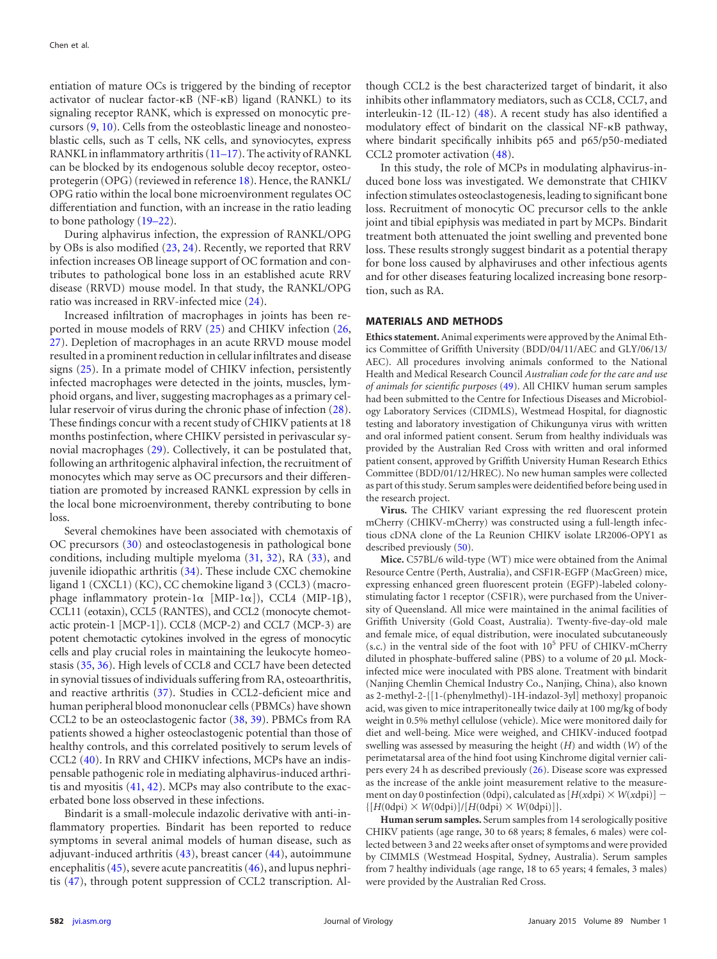entiation of mature OCs is triggered by the binding of receptor activator of nuclear factor- $\kappa$ B (NF- $\kappa$ B) ligand (RANKL) to its signaling receptor RANK, which is expressed on monocytic precursors [\(9,](#page-10-8) [10\)](#page-10-9). Cells from the osteoblastic lineage and nonosteoblastic cells, such as T cells, NK cells, and synoviocytes, express RANKL in inflammatory arthritis [\(11](#page-10-10)[–](#page-10-11)[17\)](#page-10-12). The activity of RANKL can be blocked by its endogenous soluble decoy receptor, osteoprotegerin (OPG) (reviewed in reference [18\)](#page-10-13). Hence, the RANKL/ OPG ratio within the local bone microenvironment regulates OC differentiation and function, with an increase in the ratio leading to bone pathology [\(19](#page-10-14)[–](#page-10-15)[22\)](#page-10-16).

During alphavirus infection, the expression of RANKL/OPG by OBs is also modified [\(23,](#page-10-17) [24\)](#page-10-18). Recently, we reported that RRV infection increases OB lineage support of OC formation and contributes to pathological bone loss in an established acute RRV disease (RRVD) mouse model. In that study, the RANKL/OPG ratio was increased in RRV-infected mice [\(24\)](#page-10-18).

Increased infiltration of macrophages in joints has been reported in mouse models of RRV [\(25\)](#page-10-19) and CHIKV infection [\(26,](#page-10-20) [27\)](#page-10-21). Depletion of macrophages in an acute RRVD mouse model resulted in a prominent reduction in cellular infiltrates and disease signs [\(25\)](#page-10-19). In a primate model of CHIKV infection, persistently infected macrophages were detected in the joints, muscles, lymphoid organs, and liver, suggesting macrophages as a primary cellular reservoir of virus during the chronic phase of infection [\(28\)](#page-10-22). These findings concur with a recent study of CHIKV patients at 18 months postinfection, where CHIKV persisted in perivascular synovial macrophages [\(29\)](#page-10-23). Collectively, it can be postulated that, following an arthritogenic alphaviral infection, the recruitment of monocytes which may serve as OC precursors and their differentiation are promoted by increased RANKL expression by cells in the local bone microenvironment, thereby contributing to bone loss.

Several chemokines have been associated with chemotaxis of OC precursors [\(30\)](#page-11-0) and osteoclastogenesis in pathological bone conditions, including multiple myeloma [\(31,](#page-11-1) [32\)](#page-11-2), RA [\(33\)](#page-11-3), and juvenile idiopathic arthritis [\(34\)](#page-11-4). These include CXC chemokine ligand 1 (CXCL1) (KC), CC chemokine ligand 3 (CCL3) (macrophage inflammatory protein-1 $\alpha$  [MIP-1 $\alpha$ ]), CCL4 (MIP-1 $\beta$ ), CCL11 (eotaxin), CCL5 (RANTES), and CCL2 (monocyte chemotactic protein-1 [MCP-1]). CCL8 (MCP-2) and CCL7 (MCP-3) are potent chemotactic cytokines involved in the egress of monocytic cells and play crucial roles in maintaining the leukocyte homeostasis [\(35,](#page-11-5) [36\)](#page-11-6). High levels of CCL8 and CCL7 have been detected in synovial tissues of individuals suffering from RA, osteoarthritis, and reactive arthritis [\(37\)](#page-11-7). Studies in CCL2-deficient mice and human peripheral blood mononuclear cells (PBMCs) have shown CCL2 to be an osteoclastogenic factor [\(38,](#page-11-8) [39\)](#page-11-9). PBMCs from RA patients showed a higher osteoclastogenic potential than those of healthy controls, and this correlated positively to serum levels of CCL2 [\(40\)](#page-11-10). In RRV and CHIKV infections, MCPs have an indispensable pathogenic role in mediating alphavirus-induced arthritis and myositis [\(41,](#page-11-11) [42\)](#page-11-12). MCPs may also contribute to the exacerbated bone loss observed in these infections.

Bindarit is a small-molecule indazolic derivative with anti-inflammatory properties. Bindarit has been reported to reduce symptoms in several animal models of human disease, such as adjuvant-induced arthritis [\(43\)](#page-11-13), breast cancer [\(44\)](#page-11-14), autoimmune encephalitis  $(45)$ , severe acute pancreatitis  $(46)$ , and lupus nephritis [\(47\)](#page-11-17), through potent suppression of CCL2 transcription. Although CCL2 is the best characterized target of bindarit, it also inhibits other inflammatory mediators, such as CCL8, CCL7, and interleukin-12 (IL-12) [\(48\)](#page-11-18). A recent study has also identified a modulatory effect of bindarit on the classical NF-KB pathway, where bindarit specifically inhibits p65 and p65/p50-mediated CCL2 promoter activation [\(48\)](#page-11-18).

In this study, the role of MCPs in modulating alphavirus-induced bone loss was investigated. We demonstrate that CHIKV infection stimulates osteoclastogenesis, leading to significant bone loss. Recruitment of monocytic OC precursor cells to the ankle joint and tibial epiphysis was mediated in part by MCPs. Bindarit treatment both attenuated the joint swelling and prevented bone loss. These results strongly suggest bindarit as a potential therapy for bone loss caused by alphaviruses and other infectious agents and for other diseases featuring localized increasing bone resorption, such as RA.

## **MATERIALS AND METHODS**

**Ethics statement.** Animal experiments were approved by the Animal Ethics Committee of Griffith University (BDD/04/11/AEC and GLY/06/13/ AEC). All procedures involving animals conformed to the National Health and Medical Research Council *Australian code for the care and use of animals for scientific purposes* [\(49\)](#page-11-19). All CHIKV human serum samples had been submitted to the Centre for Infectious Diseases and Microbiology Laboratory Services (CIDMLS), Westmead Hospital, for diagnostic testing and laboratory investigation of Chikungunya virus with written and oral informed patient consent. Serum from healthy individuals was provided by the Australian Red Cross with written and oral informed patient consent, approved by Griffith University Human Research Ethics Committee (BDD/01/12/HREC). No new human samples were collected as part of this study. Serum samples were deidentified before being used in the research project.

**Virus.** The CHIKV variant expressing the red fluorescent protein mCherry (CHIKV-mCherry) was constructed using a full-length infectious cDNA clone of the La Reunion CHIKV isolate LR2006-OPY1 as described previously [\(50\)](#page-11-20).

**Mice.** C57BL/6 wild-type (WT) mice were obtained from the Animal Resource Centre (Perth, Australia), and CSF1R-EGFP (MacGreen) mice, expressing enhanced green fluorescent protein (EGFP)-labeled colonystimulating factor 1 receptor (CSF1R), were purchased from the University of Queensland. All mice were maintained in the animal facilities of Griffith University (Gold Coast, Australia). Twenty-five-day-old male and female mice, of equal distribution, were inoculated subcutaneously  $(s.c.)$  in the ventral side of the foot with  $10<sup>5</sup>$  PFU of CHIKV-mCherry diluted in phosphate-buffered saline (PBS) to a volume of 20  $\mu$ l. Mockinfected mice were inoculated with PBS alone. Treatment with bindarit (Nanjing Chemlin Chemical Industry Co., Nanjing, China), also known as 2-methyl-2-{[1-(phenylmethyl)-1H-indazol-3yl] methoxy} propanoic acid, was given to mice intraperitoneally twice daily at 100 mg/kg of body weight in 0.5% methyl cellulose (vehicle). Mice were monitored daily for diet and well-being. Mice were weighed, and CHIKV-induced footpad swelling was assessed by measuring the height (*H*) and width (*W*) of the perimetatarsal area of the hind foot using Kinchrome digital vernier calipers every 24 h as described previously [\(26\)](#page-10-20). Disease score was expressed as the increase of the ankle joint measurement relative to the measurement on day 0 postinfection (0dpi), calculated as  $[H(xdpi) \times W(xdpi)]$  –  ${[H(0dpi) \times W(0dpi)]/[H(0dpi) \times W(0dpi)]}.$ 

**Human serum samples.** Serum samples from 14 serologically positive CHIKV patients (age range, 30 to 68 years; 8 females, 6 males) were collected between 3 and 22 weeks after onset of symptoms and were provided by CIMMLS (Westmead Hospital, Sydney, Australia). Serum samples from 7 healthy individuals (age range, 18 to 65 years; 4 females, 3 males) were provided by the Australian Red Cross.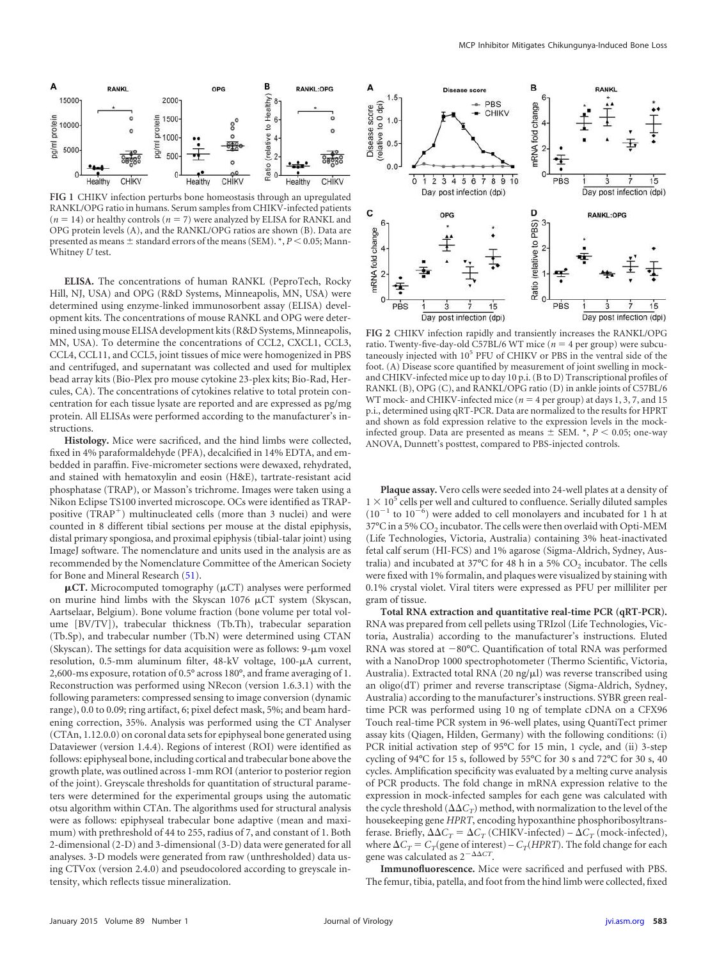

<span id="page-2-0"></span>**FIG 1** CHIKV infection perturbs bone homeostasis through an upregulated RANKL/OPG ratio in humans. Serum samples from CHIKV-infected patients  $(n = 14)$  or healthy controls  $(n = 7)$  were analyzed by ELISA for RANKL and OPG protein levels (A), and the RANKL/OPG ratios are shown (B). Data are presented as means  $\pm$  standard errors of the means (SEM).  $\ast$ ,  $P$  < 0.05; Mann-Whitney *U* test.

**ELISA.** The concentrations of human RANKL (PeproTech, Rocky Hill, NJ, USA) and OPG (R&D Systems, Minneapolis, MN, USA) were determined using enzyme-linked immunosorbent assay (ELISA) development kits. The concentrations of mouse RANKL and OPG were determined using mouse ELISA development kits (R&D Systems, Minneapolis, MN, USA). To determine the concentrations of CCL2, CXCL1, CCL3, CCL4, CCL11, and CCL5, joint tissues of mice were homogenized in PBS and centrifuged, and supernatant was collected and used for multiplex bead array kits (Bio-Plex pro mouse cytokine 23-plex kits; Bio-Rad, Hercules, CA). The concentrations of cytokines relative to total protein concentration for each tissue lysate are reported and are expressed as pg/mg protein. All ELISAs were performed according to the manufacturer's instructions.

**Histology.** Mice were sacrificed, and the hind limbs were collected, fixed in 4% paraformaldehyde (PFA), decalcified in 14% EDTA, and embedded in paraffin. Five-micrometer sections were dewaxed, rehydrated, and stained with hematoxylin and eosin (H&E), tartrate-resistant acid phosphatase (TRAP), or Masson's trichrome. Images were taken using a Nikon Eclipse TS100 inverted microscope. OCs were identified as TRAPpositive (TRAP<sup>+</sup>) multinucleated cells (more than 3 nuclei) and were counted in 8 different tibial sections per mouse at the distal epiphysis, distal primary spongiosa, and proximal epiphysis (tibial-talar joint) using ImageJ software. The nomenclature and units used in the analysis are as recommended by the Nomenclature Committee of the American Society for Bone and Mineral Research [\(51\)](#page-11-21).

 $\mu$ CT. Microcomputed tomography ( $\mu$ CT) analyses were performed on murine hind limbs with the Skyscan 1076  $\mu$ CT system (Skyscan, Aartselaar, Belgium). Bone volume fraction (bone volume per total volume [BV/TV]), trabecular thickness (Tb.Th), trabecular separation (Tb.Sp), and trabecular number (Tb.N) were determined using CTAN (Skyscan). The settings for data acquisition were as follows:  $9-\mu m$  voxel resolution, 0.5-mm aluminum filter, 48-kV voltage, 100-µA current, 2,600-ms exposure, rotation of 0.5° across 180°, and frame averaging of 1. Reconstruction was performed using NRecon (version 1.6.3.1) with the following parameters: compressed sensing to image conversion (dynamic range), 0.0 to 0.09; ring artifact, 6; pixel defect mask, 5%; and beam hardening correction, 35%. Analysis was performed using the CT Analyser (CTAn, 1.12.0.0) on coronal data sets for epiphyseal bone generated using Dataviewer (version 1.4.4). Regions of interest (ROI) were identified as follows: epiphyseal bone, including cortical and trabecular bone above the growth plate, was outlined across 1-mm ROI (anterior to posterior region of the joint). Greyscale thresholds for quantitation of structural parameters were determined for the experimental groups using the automatic otsu algorithm within CTAn. The algorithms used for structural analysis were as follows: epiphyseal trabecular bone adaptive (mean and maximum) with prethreshold of 44 to 255, radius of 7, and constant of 1. Both 2-dimensional (2-D) and 3-dimensional (3-D) data were generated for all analyses. 3-D models were generated from raw (unthresholded) data using CTVox (version 2.4.0) and pseudocolored according to greyscale intensity, which reflects tissue mineralization.



<span id="page-2-1"></span>**FIG 2** CHIKV infection rapidly and transiently increases the RANKL/OPG ratio. Twenty-five-day-old C57BL/6 WT mice  $(n = 4$  per group) were subcutaneously injected with 10<sup>5</sup> PFU of CHIKV or PBS in the ventral side of the foot. (A) Disease score quantified by measurement of joint swelling in mockand CHIKV-infected mice up to day 10 p.i. (B to D) Transcriptional profiles of RANKL (B), OPG (C), and RANKL/OPG ratio (D) in ankle joints of C57BL/6 WT mock- and CHIKV-infected mice ( $n = 4$  per group) at days 1, 3, 7, and 15 p.i., determined using qRT-PCR. Data are normalized to the results for HPRT and shown as fold expression relative to the expression levels in the mockinfected group. Data are presented as means  $\pm$  SEM.  $^{*}$ ,  $P$  < 0.05; one-way ANOVA, Dunnett's posttest, compared to PBS-injected controls.

**Plaque assay.** Vero cells were seeded into 24-well plates at a density of  $1 \times 10^5$  cells per well and cultured to confluence. Serially diluted samples  $(10^{-1}$  to  $10^{-6})$  were added to cell monolayers and incubated for 1 h at 37°C in a 5% CO<sub>2</sub> incubator. The cells were then overlaid with Opti-MEM (Life Technologies, Victoria, Australia) containing 3% heat-inactivated fetal calf serum (HI-FCS) and 1% agarose (Sigma-Aldrich, Sydney, Australia) and incubated at 37°C for 48 h in a 5%  $CO_2$  incubator. The cells were fixed with 1% formalin, and plaques were visualized by staining with 0.1% crystal violet. Viral titers were expressed as PFU per milliliter per gram of tissue.

**Total RNA extraction and quantitative real-time PCR (qRT-PCR).** RNA was prepared from cell pellets using TRIzol (Life Technologies, Victoria, Australia) according to the manufacturer's instructions. Eluted RNA was stored at  $-80^{\circ}$ C. Quantification of total RNA was performed with a NanoDrop 1000 spectrophotometer (Thermo Scientific, Victoria, Australia). Extracted total RNA (20 ng/ $\mu$ l) was reverse transcribed using an oligo(dT) primer and reverse transcriptase (Sigma-Aldrich, Sydney, Australia) according to the manufacturer's instructions. SYBR green realtime PCR was performed using 10 ng of template cDNA on a CFX96 Touch real-time PCR system in 96-well plates, using QuantiTect primer assay kits (Qiagen, Hilden, Germany) with the following conditions: (i) PCR initial activation step of 95°C for 15 min, 1 cycle, and (ii) 3-step cycling of 94°C for 15 s, followed by 55°C for 30 s and 72°C for 30 s, 40 cycles. Amplification specificity was evaluated by a melting curve analysis of PCR products. The fold change in mRNA expression relative to the expression in mock-infected samples for each gene was calculated with the cycle threshold  $(\Delta \Delta C_T)$  method, with normalization to the level of the housekeeping gene *HPRT*, encoding hypoxanthine phosphoribosyltransferase. Briefly,  $\Delta \Delta C_T = \Delta C_T$  (CHIKV-infected) –  $\Delta C_T$  (mock-infected), where  $\Delta C_T = C_T$  (gene of interest) –  $C_T$  (*HPRT*). The fold change for each gene was calculated as  $2^{-\Delta\Delta CT}$ .

**Immunofluorescence.** Mice were sacrificed and perfused with PBS. The femur, tibia, patella, and foot from the hind limb were collected, fixed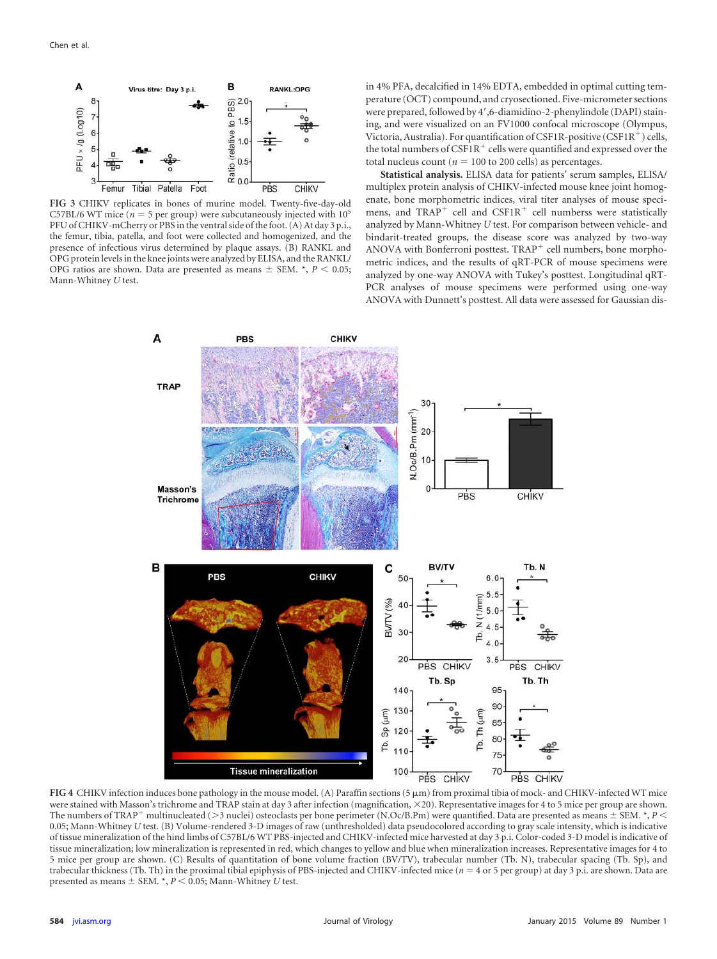

<span id="page-3-0"></span>**FIG 3** CHIKV replicates in bones of murine model. Twenty-five-day-old C57BL/6 WT mice ( $n = 5$  per group) were subcutaneously injected with  $10^5$ PFU of CHIKV-mCherry or PBS in the ventral side of the foot. (A) At day 3 p.i., the femur, tibia, patella, and foot were collected and homogenized, and the presence of infectious virus determined by plaque assays. (B) RANKL and OPG protein levels in the knee joints were analyzed by ELISA, and the RANKL/ OPG ratios are shown. Data are presented as means  $\pm$  SEM.  $*$ ,  $P < 0.05$ ; Mann-Whitney *U* test.

in 4% PFA, decalcified in 14% EDTA, embedded in optimal cutting temperature (OCT) compound, and cryosectioned. Five-micrometer sections were prepared, followed by 4',6-diamidino-2-phenylindole (DAPI) staining, and were visualized on an FV1000 confocal microscope (Olympus, Victoria, Australia). For quantification of CSF1R-positive (CSF1R<sup>+</sup>) cells, the total numbers of  $\widehat{\text{CSF1R}}^+$  cells were quantified and expressed over the total nucleus count ( $n = 100$  to 200 cells) as percentages.

**Statistical analysis.** ELISA data for patients' serum samples, ELISA/ multiplex protein analysis of CHIKV-infected mouse knee joint homogenate, bone morphometric indices, viral titer analyses of mouse specimens, and  $TRAP^+$  cell and  $CSF1R^+$  cell numberss were statistically analyzed by Mann-Whitney *U* test. For comparison between vehicle- and bindarit-treated groups, the disease score was analyzed by two-way ANOVA with Bonferroni posttest. TRAP cell numbers, bone morphometric indices, and the results of qRT-PCR of mouse specimens were analyzed by one-way ANOVA with Tukey's posttest. Longitudinal qRT-PCR analyses of mouse specimens were performed using one-way ANOVA with Dunnett's posttest. All data were assessed for Gaussian dis-



<span id="page-3-1"></span>**FIG 4** CHIKV infection induces bone pathology in the mouse model. (A) Paraffin sections (5 m) from proximal tibia of mock- and CHIKV-infected WT mice were stained with Masson's trichrome and TRAP stain at day 3 after infection (magnification,  $\times$  20). Representative images for 4 to 5 mice per group are shown. The numbers of TRAP<sup>+</sup> multinucleated (>3 nuclei) osteoclasts per bone perimeter (N.Oc/B.Pm) were quantified. Data are presented as means  $\pm$  SEM. \*, *P* < 0.05; Mann-Whitney *U* test. (B) Volume-rendered 3-D images of raw (unthresholded) data pseudocolored according to gray scale intensity, which is indicative of tissue mineralization of the hind limbs of C57BL/6 WT PBS-injected and CHIKV-infected mice harvested at day 3 p.i. Color-coded 3-D model is indicative of tissue mineralization; low mineralization is represented in red, which changes to yellow and blue when mineralization increases. Representative images for 4 to 5 mice per group are shown. (C) Results of quantitation of bone volume fraction (BV/TV), trabecular number (Tb. N), trabecular spacing (Tb. Sp), and trabecular thickness (Tb. Th) in the proximal tibial epiphysis of PBS-injected and CHIKV-infected mice (*n* = 4 or 5 per group) at day 3 p.i. are shown. Data are presented as means  $\pm$  SEM.  $^*$ ,  $P$  < 0.05; Mann-Whitney *U* test.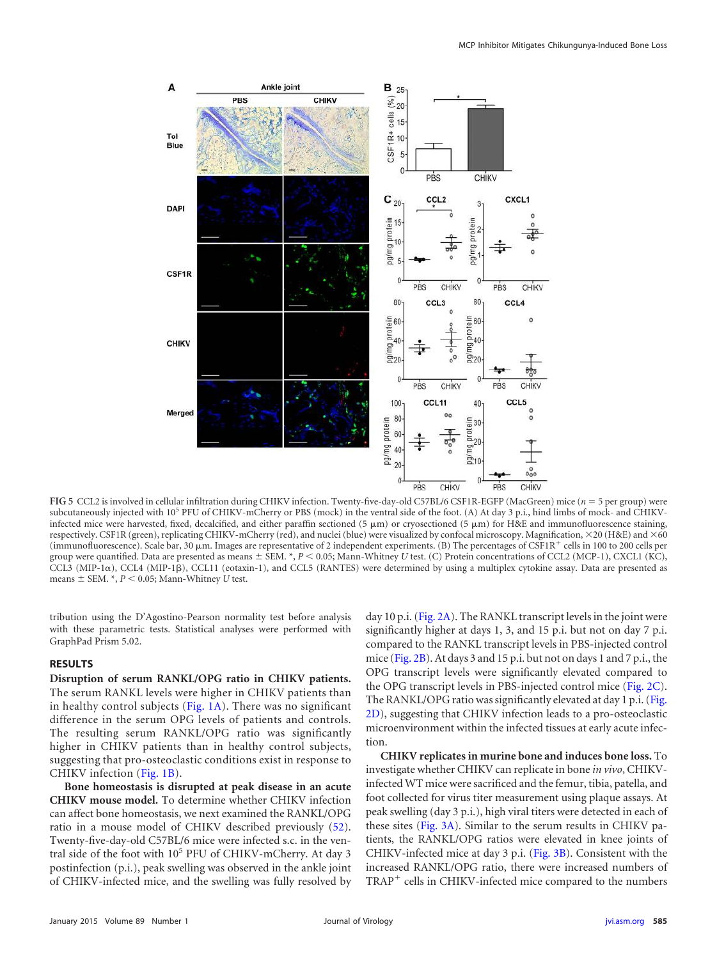

<span id="page-4-0"></span>**FIG 5** CCL2 is involved in cellular infiltration during CHIKV infection. Twenty-five-day-old C57BL/6 CSF1R-EGFP (MacGreen) mice (*n* 5 per group) were subcutaneously injected with 10<sup>5</sup> PFU of CHIKV-mCherry or PBS (mock) in the ventral side of the foot. (A) At day 3 p.i., hind limbs of mock- and CHIKVinfected mice were harvested, fixed, decalcified, and either paraffin sectioned (5  $\mu$ m) or cryosectioned (5  $\mu$ m) for H&E and immunofluorescence staining, respectively. CSF1R (green), replicating CHIKV-mCherry (red), and nuclei (blue) were visualized by confocal microscopy. Magnification,  $\times$ 20 (H&E) and  $\times$ 60 (immunofluorescence). Scale bar, 30  $\mu$ m. Images are representative of 2 independent experiments. (B) The percentages of CSF1R<sup>+</sup> cells in 100 to 200 cells per group were quantified. Data are presented as means  $\pm$  SEM. \*,  $P < 0.05$ ; Mann-Whitney *U* test. (C) Protein concentrations of CCL2 (MCP-1), CXCL1 (KC), CCL3 (MIP-1 $\alpha$ ), CCL4 (MIP-1 $\beta$ ), CCL11 (eotaxin-1), and CCL5 (RANTES) were determined by using a multiplex cytokine assay. Data are presented as means  $\pm$  SEM.  $^*$ ,  $P$  < 0.05; Mann-Whitney *U* test.

tribution using the D'Agostino-Pearson normality test before analysis with these parametric tests. Statistical analyses were performed with GraphPad Prism 5.02.

#### **RESULTS**

**Disruption of serum RANKL/OPG ratio in CHIKV patients.** The serum RANKL levels were higher in CHIKV patients than in healthy control subjects (Fig.  $1A$ ). There was no significant difference in the serum OPG levels of patients and controls. The resulting serum RANKL/OPG ratio was significantly higher in CHIKV patients than in healthy control subjects, suggesting that pro-osteoclastic conditions exist in response to CHIKV infection [\(Fig. 1B\)](#page-2-0).

**Bone homeostasis is disrupted at peak disease in an acute CHIKV mouse model.** To determine whether CHIKV infection can affect bone homeostasis, we next examined the RANKL/OPG ratio in a mouse model of CHIKV described previously [\(52\)](#page-11-22). Twenty-five-day-old C57BL/6 mice were infected s.c. in the ventral side of the foot with 10<sup>5</sup> PFU of CHIKV-mCherry. At day 3 postinfection (p.i.), peak swelling was observed in the ankle joint of CHIKV-infected mice, and the swelling was fully resolved by day 10 p.i. [\(Fig. 2A\)](#page-2-1). The RANKL transcript levels in the joint were significantly higher at days 1, 3, and 15 p.i. but not on day 7 p.i. compared to the RANKL transcript levels in PBS-injected control mice [\(Fig. 2B\)](#page-2-1). At days 3 and 15 p.i. but not on days 1 and 7 p.i., the OPG transcript levels were significantly elevated compared to the OPG transcript levels in PBS-injected control mice [\(Fig. 2C\)](#page-2-1). The RANKL/OPG ratio was significantly elevated at day 1 p.i. [\(Fig.](#page-2-1) [2D\)](#page-2-1), suggesting that CHIKV infection leads to a pro-osteoclastic microenvironment within the infected tissues at early acute infection.

**CHIKV replicates in murine bone and induces bone loss.** To investigate whether CHIKV can replicate in bone *in vivo*, CHIKVinfected WT mice were sacrificed and the femur, tibia, patella, and foot collected for virus titer measurement using plaque assays. At peak swelling (day 3 p.i.), high viral titers were detected in each of these sites [\(Fig. 3A\)](#page-3-0). Similar to the serum results in CHIKV patients, the RANKL/OPG ratios were elevated in knee joints of CHIKV-infected mice at day 3 p.i. [\(Fig. 3B\)](#page-3-0). Consistent with the increased RANKL/OPG ratio, there were increased numbers of TRAP cells in CHIKV-infected mice compared to the numbers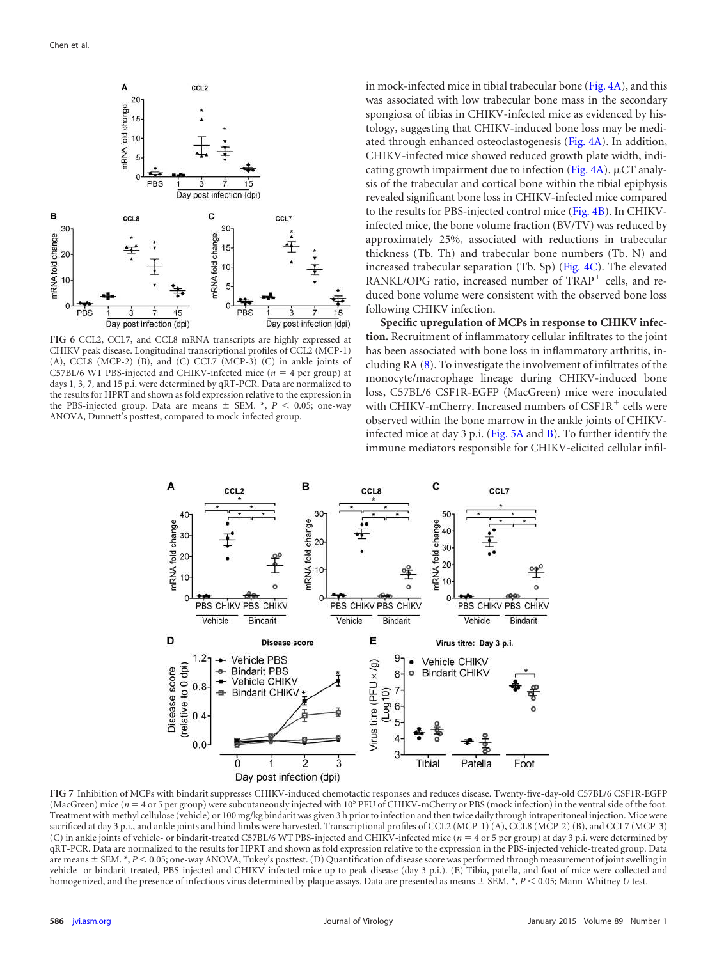

<span id="page-5-0"></span>**FIG 6** CCL2, CCL7, and CCL8 mRNA transcripts are highly expressed at CHIKV peak disease. Longitudinal transcriptional profiles of CCL2 (MCP-1)  $(A)$ , CCL8 (MCP-2)  $(B)$ , and  $(C)$  CCL7 (MCP-3)  $(C)$  in ankle joints of C57BL/6 WT PBS-injected and CHIKV-infected mice ( $n = 4$  per group) at days 1, 3, 7, and 15 p.i. were determined by qRT-PCR. Data are normalized to the results for HPRT and shown as fold expression relative to the expression in the PBS-injected group. Data are means  $\pm$  SEM.  $*$ ,  $P$  < 0.05; one-way ANOVA, Dunnett's posttest, compared to mock-infected group.

in mock-infected mice in tibial trabecular bone [\(Fig. 4A\)](#page-3-1), and this was associated with low trabecular bone mass in the secondary spongiosa of tibias in CHIKV-infected mice as evidenced by histology, suggesting that CHIKV-induced bone loss may be mediated through enhanced osteoclastogenesis [\(Fig. 4A\)](#page-3-1). In addition, CHIKV-infected mice showed reduced growth plate width, indicating growth impairment due to infection (Fig.  $4A$ ).  $\mu$ CT analysis of the trabecular and cortical bone within the tibial epiphysis revealed significant bone loss in CHIKV-infected mice compared to the results for PBS-injected control mice [\(Fig. 4B\)](#page-3-1). In CHIKVinfected mice, the bone volume fraction (BV/TV) was reduced by approximately 25%, associated with reductions in trabecular thickness (Tb. Th) and trabecular bone numbers (Tb. N) and increased trabecular separation (Tb. Sp) [\(Fig. 4C\)](#page-3-1). The elevated RANKL/OPG ratio, increased number of TRAP<sup>+</sup> cells, and reduced bone volume were consistent with the observed bone loss following CHIKV infection.

**Specific upregulation of MCPs in response to CHIKV infection.** Recruitment of inflammatory cellular infiltrates to the joint has been associated with bone loss in inflammatory arthritis, including RA [\(8\)](#page-10-7). To investigate the involvement of infiltrates of the monocyte/macrophage lineage during CHIKV-induced bone loss, C57BL/6 CSF1R-EGFP (MacGreen) mice were inoculated with CHIKV-mCherry. Increased numbers of CSF1R<sup>+</sup> cells were observed within the bone marrow in the ankle joints of CHIKVinfected mice at day 3 p.i. [\(Fig. 5A](#page-4-0) and [B\)](#page-4-0). To further identify the immune mediators responsible for CHIKV-elicited cellular infil-



<span id="page-5-1"></span>**FIG 7** Inhibition of MCPs with bindarit suppresses CHIKV-induced chemotactic responses and reduces disease. Twenty-five-day-old C57BL/6 CSF1R-EGFP (MacGreen) mice (*n* = 4 or 5 per group) were subcutaneously injected with 10<sup>5</sup> PFU of CHIKV-mCherry or PBS (mock infection) in the ventral side of the foot. Treatment with methyl cellulose (vehicle) or 100 mg/kg bindarit was given 3 h prior to infection and then twice daily through intraperitoneal injection. Mice were sacrificed at day 3 p.i., and ankle joints and hind limbs were harvested. Transcriptional profiles of CCL2 (MCP-1) (A), CCL8 (MCP-2) (B), and CCL7 (MCP-3) (C) in ankle joints of vehicle- or bindarit-treated C57BL/6 WT PBS-injected and CHIKV-infected mice (*n* = 4 or 5 per group) at day 3 p.i. were determined by qRT-PCR. Data are normalized to the results for HPRT and shown as fold expression relative to the expression in the PBS-injected vehicle-treated group. Data are means  $\pm$  SEM. \*,  $P$  < 0.05; one-way ANOVA, Tukey's posttest. (D) Quantification of disease score was performed through measurement of joint swelling in vehicle- or bindarit-treated, PBS-injected and CHIKV-infected mice up to peak disease (day 3 p.i.). (E) Tibia, patella, and foot of mice were collected and homogenized, and the presence of infectious virus determined by plaque assays. Data are presented as means  $\pm$  SEM. \*, *P* < 0.05; Mann-Whitney *U* test.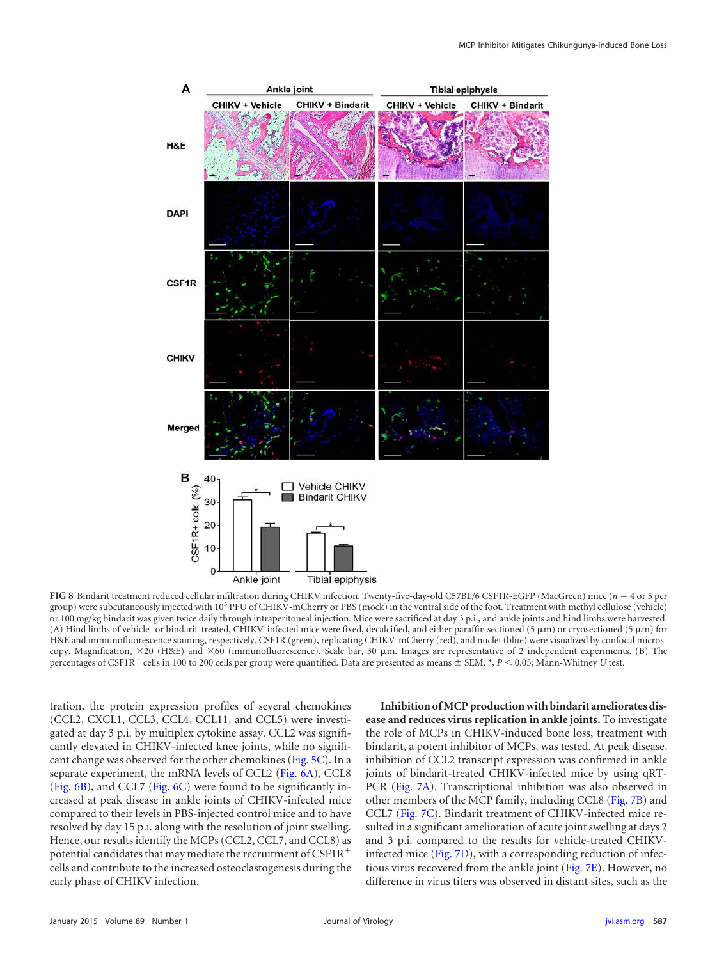

<span id="page-6-0"></span>**FIG 8** Bindarit treatment reduced cellular infiltration during CHIKV infection. Twenty-five-day-old C57BL/6 CSF1R-EGFP (MacGreen) mice (*n* 4 or 5 per group) were subcutaneously injected with 10<sup>5</sup> PFU of CHIKV-mCherry or PBS (mock) in the ventral side of the foot. Treatment with methyl cellulose (vehicle) or 100 mg/kg bindarit was given twice daily through intraperitoneal injection. Mice were sacrificed at day 3 p.i., and ankle joints and hind limbs were harvested. (A) Hind limbs of vehicle- or bindarit-treated, CHIKV-infected mice were fixed, decalcified, and either paraffin sectioned (5  $\mu$ m) or cryosectioned (5  $\mu$ m) for H&E and immunofluorescence staining, respectively. CSF1R (green), replicating CHIKV-mCherry (red), and nuclei (blue) were visualized by confocal microscopy. Magnification,  $\times$ 20 (H&E) and  $\times$ 60 (immunofluorescence). Scale bar, 30  $\mu$ m. Images are representative of 2 independent experiments. (B) The percentages of CSF1R<sup>+</sup> cells in 100 to 200 cells per group were quantified. Data are presented as means  $\pm$  SEM. \*, *P* < 0.05; Mann-Whitney *U* test.

tration, the protein expression profiles of several chemokines (CCL2, CXCL1, CCL3, CCL4, CCL11, and CCL5) were investigated at day 3 p.i. by multiplex cytokine assay. CCL2 was significantly elevated in CHIKV-infected knee joints, while no significant change was observed for the other chemokines [\(Fig. 5C\)](#page-4-0). In a separate experiment, the mRNA levels of CCL2 [\(Fig. 6A\)](#page-5-0), CCL8 [\(Fig. 6B\)](#page-5-0), and CCL7 [\(Fig. 6C\)](#page-5-0) were found to be significantly increased at peak disease in ankle joints of CHIKV-infected mice compared to their levels in PBS-injected control mice and to have resolved by day 15 p.i. along with the resolution of joint swelling. Hence, our results identify the MCPs (CCL2, CCL7, and CCL8) as potential candidates that may mediate the recruitment of  $CSF1R$ <sup>+</sup> cells and contribute to the increased osteoclastogenesis during the early phase of CHIKV infection.

**Inhibition of MCP production with bindarit ameliorates disease and reduces virus replication in ankle joints.** To investigate the role of MCPs in CHIKV-induced bone loss, treatment with bindarit, a potent inhibitor of MCPs, was tested. At peak disease, inhibition of CCL2 transcript expression was confirmed in ankle joints of bindarit-treated CHIKV-infected mice by using qRT-PCR [\(Fig. 7A\)](#page-5-1). Transcriptional inhibition was also observed in other members of the MCP family, including CCL8 [\(Fig. 7B\)](#page-5-1) and CCL7 [\(Fig. 7C\)](#page-5-1). Bindarit treatment of CHIKV-infected mice resulted in a significant amelioration of acute joint swelling at days 2 and 3 p.i. compared to the results for vehicle-treated CHIKVinfected mice [\(Fig. 7D\)](#page-5-1), with a corresponding reduction of infectious virus recovered from the ankle joint [\(Fig. 7E\)](#page-5-1). However, no difference in virus titers was observed in distant sites, such as the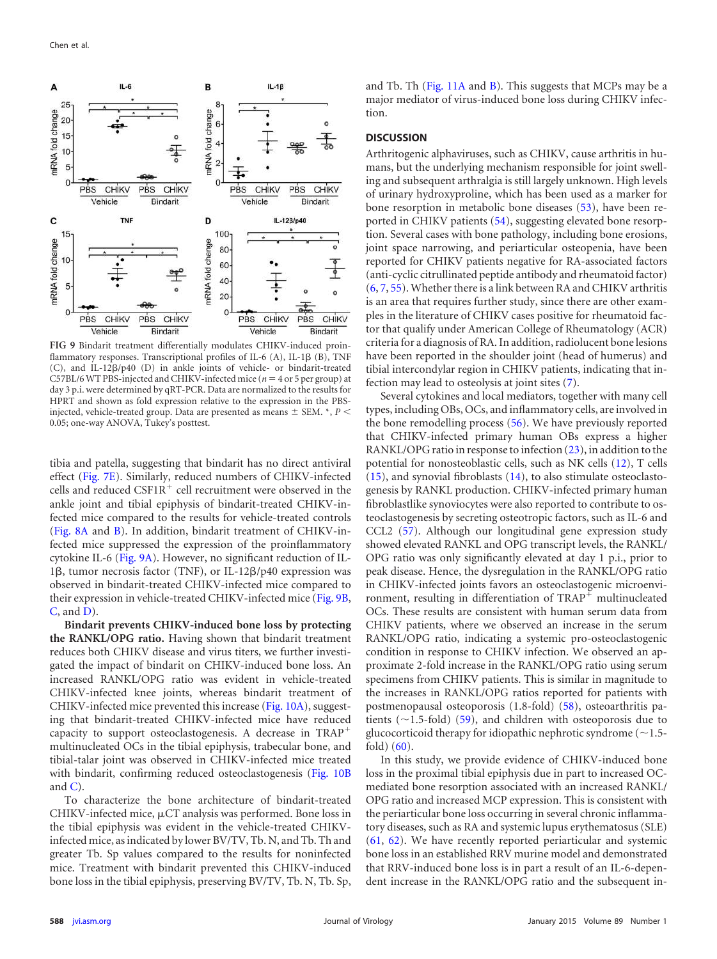

<span id="page-7-0"></span>**FIG 9** Bindarit treatment differentially modulates CHIKV-induced proinflammatory responses. Transcriptional profiles of IL-6 (A), IL-1 $\beta$  (B), TNF (C), and IL-12 $\beta$ /p40 (D) in ankle joints of vehicle- or bindarit-treated C57BL/6 WT PBS-injected and CHIKV-infected mice ( $n = 4$  or 5 per group) at day 3 p.i. were determined by qRT-PCR. Data are normalized to the results for HPRT and shown as fold expression relative to the expression in the PBSinjected, vehicle-treated group. Data are presented as means  $\pm$  SEM.  $^*, P$  < 0.05; one-way ANOVA, Tukey's posttest.

tibia and patella, suggesting that bindarit has no direct antiviral effect [\(Fig. 7E\)](#page-5-1). Similarly, reduced numbers of CHIKV-infected cells and reduced  $\text{CSF1R}^+$  cell recruitment were observed in the ankle joint and tibial epiphysis of bindarit-treated CHIKV-infected mice compared to the results for vehicle-treated controls [\(Fig. 8A](#page-6-0) and [B\)](#page-6-0). In addition, bindarit treatment of CHIKV-infected mice suppressed the expression of the proinflammatory cytokine IL-6 [\(Fig. 9A\)](#page-7-0). However, no significant reduction of IL-1 $\beta$ , tumor necrosis factor (TNF), or IL-12 $\beta$ /p40 expression was observed in bindarit-treated CHIKV-infected mice compared to their expression in vehicle-treated CHIKV-infected mice [\(Fig. 9B,](#page-7-0) [C,](#page-7-0) and [D\)](#page-7-0).

**Bindarit prevents CHIKV-induced bone loss by protecting the RANKL/OPG ratio.** Having shown that bindarit treatment reduces both CHIKV disease and virus titers, we further investigated the impact of bindarit on CHIKV-induced bone loss. An increased RANKL/OPG ratio was evident in vehicle-treated CHIKV-infected knee joints, whereas bindarit treatment of CHIKV-infected mice prevented this increase [\(Fig. 10A\)](#page-8-0), suggesting that bindarit-treated CHIKV-infected mice have reduced capacity to support osteoclastogenesis. A decrease in TRAP multinucleated OCs in the tibial epiphysis, trabecular bone, and tibial-talar joint was observed in CHIKV-infected mice treated with bindarit, confirming reduced osteoclastogenesis [\(Fig. 10B](#page-8-0) and  $C$ ).

To characterize the bone architecture of bindarit-treated CHIKV-infected mice,  $\mu$ CT analysis was performed. Bone loss in the tibial epiphysis was evident in the vehicle-treated CHIKVinfected mice, as indicated by lower BV/TV, Tb. N, and Tb. Th and greater Tb. Sp values compared to the results for noninfected mice. Treatment with bindarit prevented this CHIKV-induced bone loss in the tibial epiphysis, preserving BV/TV, Tb. N, Tb. Sp,

and Tb. Th [\(Fig. 11A](#page-9-0) and [B\)](#page-9-0). This suggests that MCPs may be a major mediator of virus-induced bone loss during CHIKV infection.

## **DISCUSSION**

Arthritogenic alphaviruses, such as CHIKV, cause arthritis in humans, but the underlying mechanism responsible for joint swelling and subsequent arthralgia is still largely unknown. High levels of urinary hydroxyproline, which has been used as a marker for bone resorption in metabolic bone diseases [\(53\)](#page-11-23), have been reported in CHIKV patients [\(54\)](#page-11-24), suggesting elevated bone resorption. Several cases with bone pathology, including bone erosions, joint space narrowing, and periarticular osteopenia, have been reported for CHIKV patients negative for RA-associated factors (anti-cyclic citrullinated peptide antibody and rheumatoid factor) [\(6,](#page-10-5) [7,](#page-10-6) [55\)](#page-11-25). Whether there is a link between RA and CHIKV arthritis is an area that requires further study, since there are other examples in the literature of CHIKV cases positive for rheumatoid factor that qualify under American College of Rheumatology (ACR) criteria for a diagnosis of RA. In addition, radiolucent bone lesions have been reported in the shoulder joint (head of humerus) and tibial intercondylar region in CHIKV patients, indicating that infection may lead to osteolysis at joint sites [\(7\)](#page-10-6).

Several cytokines and local mediators, together with many cell types, including OBs, OCs, and inflammatory cells, are involved in the bone remodelling process [\(56\)](#page-11-26). We have previously reported that CHIKV-infected primary human OBs express a higher RANKL/OPG ratio in response to infection [\(23\)](#page-10-17), in addition to the potential for nonosteoblastic cells, such as NK cells [\(12\)](#page-10-24), T cells  $(15)$ , and synovial fibroblasts  $(14)$ , to also stimulate osteoclastogenesis by RANKL production. CHIKV-infected primary human fibroblastlike synoviocytes were also reported to contribute to osteoclastogenesis by secreting osteotropic factors, such as IL-6 and CCL2 [\(57\)](#page-11-27). Although our longitudinal gene expression study showed elevated RANKL and OPG transcript levels, the RANKL/ OPG ratio was only significantly elevated at day 1 p.i., prior to peak disease. Hence, the dysregulation in the RANKL/OPG ratio in CHIKV-infected joints favors an osteoclastogenic microenvironment, resulting in differentiation of  $TRAP<sup>+</sup>$  multinucleated OCs. These results are consistent with human serum data from CHIKV patients, where we observed an increase in the serum RANKL/OPG ratio, indicating a systemic pro-osteoclastogenic condition in response to CHIKV infection. We observed an approximate 2-fold increase in the RANKL/OPG ratio using serum specimens from CHIKV patients. This is similar in magnitude to the increases in RANKL/OPG ratios reported for patients with postmenopausal osteoporosis (1.8-fold) [\(58\)](#page-11-28), osteoarthritis patients ( $\sim$ 1.5-fold) [\(59\)](#page-11-29), and children with osteoporosis due to glucocorticoid therapy for idiopathic nephrotic syndrome ( $\sim$ 1.5fold) [\(60\)](#page-11-30).

In this study, we provide evidence of CHIKV-induced bone loss in the proximal tibial epiphysis due in part to increased OCmediated bone resorption associated with an increased RANKL/ OPG ratio and increased MCP expression. This is consistent with the periarticular bone loss occurring in several chronic inflammatory diseases, such as RA and systemic lupus erythematosus (SLE) [\(61,](#page-11-31) [62\)](#page-12-0). We have recently reported periarticular and systemic bone loss in an established RRV murine model and demonstrated that RRV-induced bone loss is in part a result of an IL-6-dependent increase in the RANKL/OPG ratio and the subsequent in-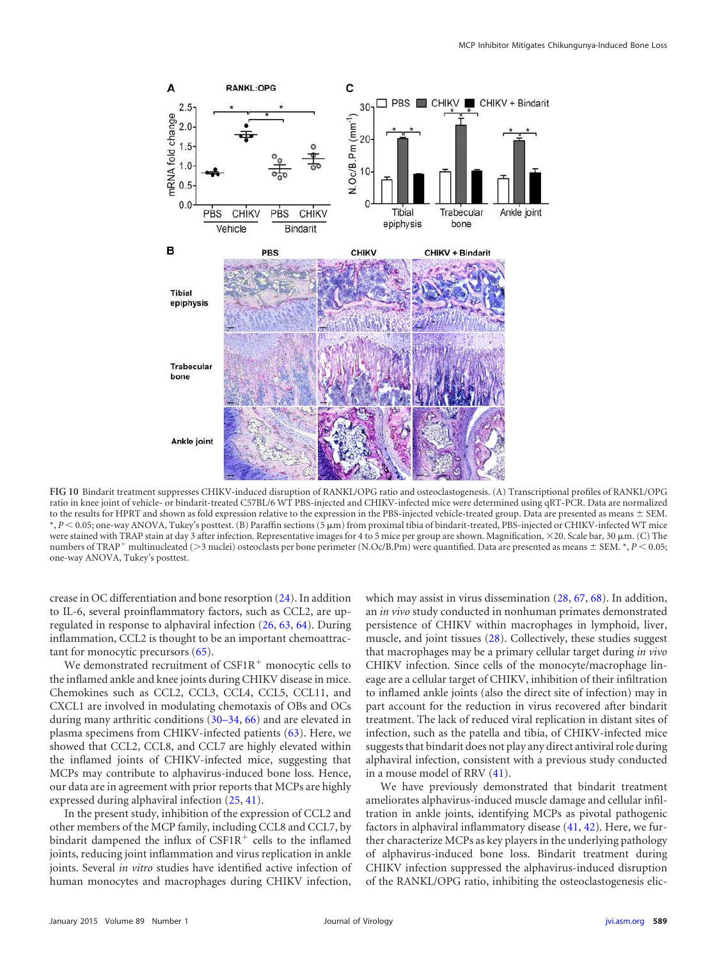

<span id="page-8-0"></span>**FIG 10** Bindarit treatment suppresses CHIKV-induced disruption of RANKL/OPG ratio and osteoclastogenesis. (A) Transcriptional profiles of RANKL/OPG ratio in knee joint of vehicle- or bindarit-treated C57BL/6 WT PBS-injected and CHIKV-infected mice were determined using qRT-PCR. Data are normalized to the results for HPRT and shown as fold expression relative to the expression in the PBS-injected vehicle-treated group. Data are presented as means  $\pm$  SEM. \*, *P*  0.05; one-way ANOVA, Tukey's posttest. (B) Paraffin sections (5 m) from proximal tibia of bindarit-treated, PBS-injected or CHIKV-infected WT mice were stained with TRAP stain at day 3 after infection. Representative images for 4 to 5 mice per group are shown. Magnification,  $\times$ 20. Scale bar, 30  $\mu$ m. (C) The numbers of TRAP<sup>+</sup> multinucleated (>3 nuclei) osteoclasts per bone perimeter (N.Oc/B.Pm) were quantified. Data are presented as means  $\pm$  SEM.  $^*, P$  < 0.05; one-way ANOVA, Tukey's posttest.

crease in OC differentiation and bone resorption [\(24\)](#page-10-18). In addition to IL-6, several proinflammatory factors, such as CCL2, are upregulated in response to alphaviral infection [\(26,](#page-10-20) [63,](#page-12-1) [64\)](#page-12-2). During inflammation, CCL2 is thought to be an important chemoattractant for monocytic precursors [\(65\)](#page-12-3).

We demonstrated recruitment of  $CSF1R<sup>+</sup>$  monocytic cells to the inflamed ankle and knee joints during CHIKV disease in mice. Chemokines such as CCL2, CCL3, CCL4, CCL5, CCL11, and CXCL1 are involved in modulating chemotaxis of OBs and OCs during many arthritic conditions [\(30](#page-11-0)[–](#page-11-3)[34,](#page-11-4) [66\)](#page-12-4) and are elevated in plasma specimens from CHIKV-infected patients [\(63\)](#page-12-1). Here, we showed that CCL2, CCL8, and CCL7 are highly elevated within the inflamed joints of CHIKV-infected mice, suggesting that MCPs may contribute to alphavirus-induced bone loss. Hence, our data are in agreement with prior reports that MCPs are highly expressed during alphaviral infection [\(25,](#page-10-19) [41\)](#page-11-11).

In the present study, inhibition of the expression of CCL2 and other members of the MCP family, including CCL8 and CCL7, by bindarit dampened the influx of CSF1R<sup>+</sup> cells to the inflamed joints, reducing joint inflammation and virus replication in ankle joints. Several *in vitro* studies have identified active infection of human monocytes and macrophages during CHIKV infection,

which may assist in virus dissemination  $(28, 67, 68)$  $(28, 67, 68)$  $(28, 67, 68)$  $(28, 67, 68)$  $(28, 67, 68)$ . In addition, an *in vivo* study conducted in nonhuman primates demonstrated persistence of CHIKV within macrophages in lymphoid, liver, muscle, and joint tissues [\(28\)](#page-10-22). Collectively, these studies suggest that macrophages may be a primary cellular target during *in vivo* CHIKV infection. Since cells of the monocyte/macrophage lineage are a cellular target of CHIKV, inhibition of their infiltration to inflamed ankle joints (also the direct site of infection) may in part account for the reduction in virus recovered after bindarit treatment. The lack of reduced viral replication in distant sites of infection, such as the patella and tibia, of CHIKV-infected mice suggests that bindarit does not play any direct antiviral role during alphaviral infection, consistent with a previous study conducted in a mouse model of RRV [\(41\)](#page-11-11).

We have previously demonstrated that bindarit treatment ameliorates alphavirus-induced muscle damage and cellular infiltration in ankle joints, identifying MCPs as pivotal pathogenic factors in alphaviral inflammatory disease [\(41,](#page-11-11) [42\)](#page-11-12). Here, we further characterize MCPs as key players in the underlying pathology of alphavirus-induced bone loss. Bindarit treatment during CHIKV infection suppressed the alphavirus-induced disruption of the RANKL/OPG ratio, inhibiting the osteoclastogenesis elic-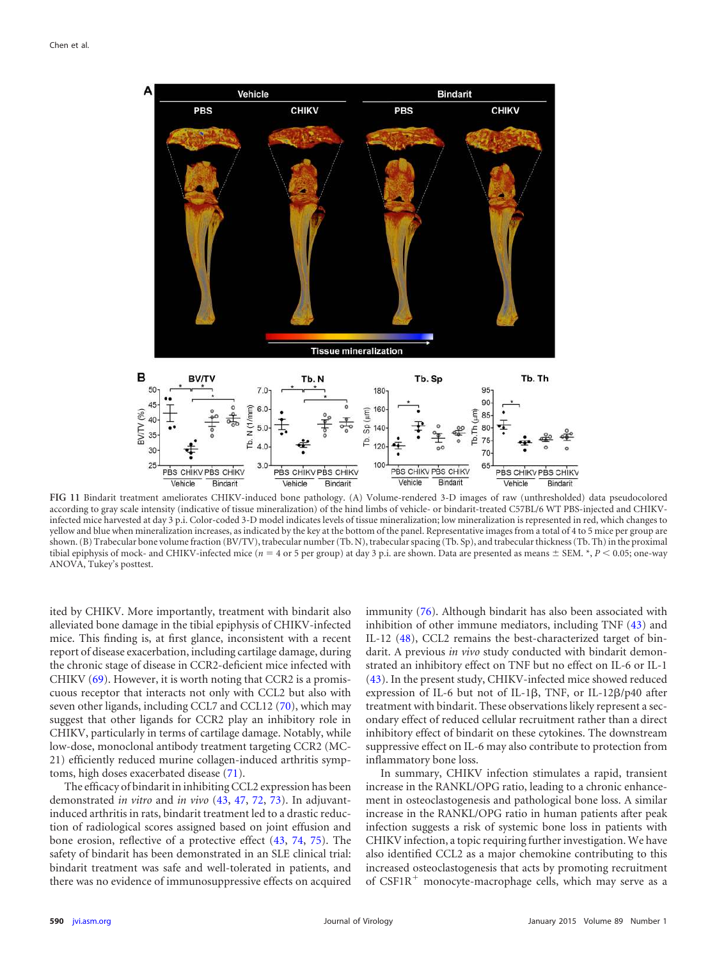

<span id="page-9-0"></span>**FIG 11** Bindarit treatment ameliorates CHIKV-induced bone pathology. (A) Volume-rendered 3-D images of raw (unthresholded) data pseudocolored according to gray scale intensity (indicative of tissue mineralization) of the hind limbs of vehicle- or bindarit-treated C57BL/6 WT PBS-injected and CHIKVinfected mice harvested at day 3 p.i. Color-coded 3-D model indicates levels of tissue mineralization; low mineralization is represented in red, which changes to yellow and blue when mineralization increases, as indicated by the key at the bottom of the panel. Representative images from a total of 4 to 5 mice per group are shown. (B) Trabecular bone volume fraction (BV/TV), trabecular number (Tb. N), trabecular spacing (Tb. Sp), and trabecular thickness (Tb. Th) in the proximal tibial epiphysis of mock- and CHIKV-infected mice (*n* = 4 or 5 per group) at day 3 p.i. are shown. Data are presented as means  $\pm$  SEM. \*, *P* < 0.05; one-way ANOVA, Tukey's posttest.

ited by CHIKV. More importantly, treatment with bindarit also alleviated bone damage in the tibial epiphysis of CHIKV-infected mice. This finding is, at first glance, inconsistent with a recent report of disease exacerbation, including cartilage damage, during the chronic stage of disease in CCR2-deficient mice infected with CHIKV [\(69\)](#page-12-7). However, it is worth noting that CCR2 is a promiscuous receptor that interacts not only with CCL2 but also with seven other ligands, including CCL7 and CCL12 [\(70\)](#page-12-8), which may suggest that other ligands for CCR2 play an inhibitory role in CHIKV, particularly in terms of cartilage damage. Notably, while low-dose, monoclonal antibody treatment targeting CCR2 (MC-21) efficiently reduced murine collagen-induced arthritis symptoms, high doses exacerbated disease [\(71\)](#page-12-9).

The efficacy of bindarit in inhibiting CCL2 expression has been demonstrated *in vitro* and *in vivo* [\(43,](#page-11-13) [47,](#page-11-17) [72,](#page-12-10) [73\)](#page-12-11). In adjuvantinduced arthritis in rats, bindarit treatment led to a drastic reduction of radiological scores assigned based on joint effusion and bone erosion, reflective of a protective effect [\(43,](#page-11-13) [74,](#page-12-12) [75\)](#page-12-13). The safety of bindarit has been demonstrated in an SLE clinical trial: bindarit treatment was safe and well-tolerated in patients, and there was no evidence of immunosuppressive effects on acquired

immunity [\(76\)](#page-12-14). Although bindarit has also been associated with inhibition of other immune mediators, including TNF [\(43\)](#page-11-13) and IL-12 [\(48\)](#page-11-18), CCL2 remains the best-characterized target of bindarit. A previous *in vivo* study conducted with bindarit demonstrated an inhibitory effect on TNF but no effect on IL-6 or IL-1 [\(43\)](#page-11-13). In the present study, CHIKV-infected mice showed reduced expression of IL-6 but not of IL-1 $\beta$ , TNF, or IL-12 $\beta$ /p40 after treatment with bindarit. These observations likely represent a secondary effect of reduced cellular recruitment rather than a direct inhibitory effect of bindarit on these cytokines. The downstream suppressive effect on IL-6 may also contribute to protection from inflammatory bone loss.

In summary, CHIKV infection stimulates a rapid, transient increase in the RANKL/OPG ratio, leading to a chronic enhancement in osteoclastogenesis and pathological bone loss. A similar increase in the RANKL/OPG ratio in human patients after peak infection suggests a risk of systemic bone loss in patients with CHIKV infection, a topic requiring further investigation. We have also identified CCL2 as a major chemokine contributing to this increased osteoclastogenesis that acts by promoting recruitment of  $C\text{SFR}^+$  monocyte-macrophage cells, which may serve as a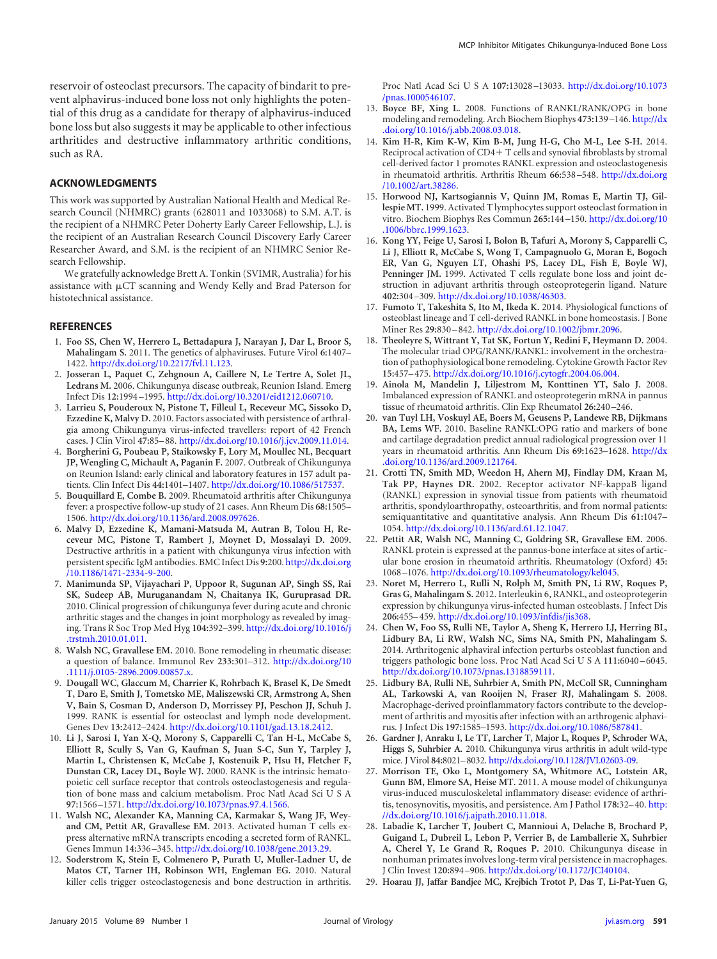reservoir of osteoclast precursors. The capacity of bindarit to prevent alphavirus-induced bone loss not only highlights the potential of this drug as a candidate for therapy of alphavirus-induced bone loss but also suggests it may be applicable to other infectious arthritides and destructive inflammatory arthritic conditions, such as RA.

#### **ACKNOWLEDGMENTS**

This work was supported by Australian National Health and Medical Research Council (NHMRC) grants (628011 and 1033068) to S.M. A.T. is the recipient of a NHMRC Peter Doherty Early Career Fellowship, L.J. is the recipient of an Australian Research Council Discovery Early Career Researcher Award, and S.M. is the recipient of an NHMRC Senior Research Fellowship.

We gratefully acknowledge Brett A. Tonkin (SVIMR, Australia) for his assistance with  $\mu$ CT scanning and Wendy Kelly and Brad Paterson for histotechnical assistance.

#### <span id="page-10-0"></span>**REFERENCES**

- 1. **Foo SS, Chen W, Herrero L, Bettadapura J, Narayan J, Dar L, Broor S, Mahalingam S.** 2011. The genetics of alphaviruses. Future Virol **6:**1407– 1422. http://dx.doi.org/10.2217/fvl.11.123.
- <span id="page-10-1"></span>2. **Josseran L, Paquet C, Zehgnoun A, Caillere N, Le Tertre A, Solet JL, Ledrans M.** 2006. Chikungunya disease outbreak, Reunion Island. Emerg Infect Dis **12:**1994 –1995. http://dx.doi.org/10.3201/eid1212.060710.
- <span id="page-10-2"></span>3. **Larrieu S, Pouderoux N, Pistone T, Filleul L, Receveur MC, Sissoko D, Ezzedine K, Malvy D.** 2010. Factors associated with persistence of arthralgia among Chikungunya virus-infected travellers: report of 42 French cases. J Clin Virol **47:**85–88. http://dx.doi.org/10.1016/j.jcv.2009.11.014.
- <span id="page-10-3"></span>4. **Borgherini G, Poubeau P, Staikowsky F, Lory M, Moullec NL, Becquart JP, Wengling C, Michault A, Paganin F.** 2007. Outbreak of Chikungunya on Reunion Island: early clinical and laboratory features in 157 adult patients. Clin Infect Dis **44:**1401–1407. http://dx.doi.org/10.1086/517537.
- <span id="page-10-4"></span>5. **Bouquillard E, Combe B.** 2009. Rheumatoid arthritis after Chikungunya fever: a prospective follow-up study of 21 cases. Ann Rheum Dis **68:**1505– 1506. http://dx.doi.org/10.1136/ard.2008.097626.
- <span id="page-10-5"></span>6. **Malvy D, Ezzedine K, Mamani-Matsuda M, Autran B, Tolou H, Receveur MC, Pistone T, Rambert J, Moynet D, Mossalayi D.** 2009. Destructive arthritis in a patient with chikungunya virus infection with persistent specific IgM antibodies. BMC Infect Dis **9:**200. http://dx.doi.org /10.1186/1471-2334-9-200.
- <span id="page-10-6"></span>7. **Manimunda SP, Vijayachari P, Uppoor R, Sugunan AP, Singh SS, Rai SK, Sudeep AB, Muruganandam N, Chaitanya IK, Guruprasad DR.** 2010. Clinical progression of chikungunya fever during acute and chronic arthritic stages and the changes in joint morphology as revealed by imaging. Trans R Soc Trop Med Hyg **104:**392–399. http://dx.doi.org/10.1016/j .trstmh.2010.01.011.
- <span id="page-10-8"></span><span id="page-10-7"></span>8. **Walsh NC, Gravallese EM.** 2010. Bone remodeling in rheumatic disease: a question of balance. Immunol Rev **233:**301–312. http://dx.doi.org/10 .1111/j.0105-2896.2009.00857.x.
- 9. **Dougall WC, Glaccum M, Charrier K, Rohrbach K, Brasel K, De Smedt T, Daro E, Smith J, Tometsko ME, Maliszewski CR, Armstrong A, Shen V, Bain S, Cosman D, Anderson D, Morrissey PJ, Peschon JJ, Schuh J.** 1999. RANK is essential for osteoclast and lymph node development. Genes Dev **13:**2412–2424. http://dx.doi.org/10.1101/gad.13.18.2412.
- <span id="page-10-9"></span>10. **Li J, Sarosi I, Yan X-Q, Morony S, Capparelli C, Tan H-L, McCabe S, Elliott R, Scully S, Van G, Kaufman S, Juan S-C, Sun Y, Tarpley J, Martin L, Christensen K, McCabe J, Kostenuik P, Hsu H, Fletcher F, Dunstan CR, Lacey DL, Boyle WJ.** 2000. RANK is the intrinsic hematopoietic cell surface receptor that controls osteoclastogenesis and regulation of bone mass and calcium metabolism. Proc Natl Acad Sci U S A **97:**1566 –1571. http://dx.doi.org/10.1073/pnas.97.4.1566.
- <span id="page-10-10"></span>11. **Walsh NC, Alexander KA, Manning CA, Karmakar S, Wang JF, Weyand CM, Pettit AR, Gravallese EM.** 2013. Activated human T cells express alternative mRNA transcripts encoding a secreted form of RANKL. Genes Immun **14:**336 –345. http://dx.doi.org/10.1038/gene.2013.29.
- <span id="page-10-24"></span>12. **Soderstrom K, Stein E, Colmenero P, Purath U, Muller-Ladner U, de Matos CT, Tarner IH, Robinson WH, Engleman EG.** 2010. Natural killer cells trigger osteoclastogenesis and bone destruction in arthritis.

Proc Natl Acad SciUSA **107:**13028 –13033. http://dx.doi.org/10.1073 /pnas.1000546107.

- 13. **Boyce BF, Xing L.** 2008. Functions of RANKL/RANK/OPG in bone modeling and remodeling. Arch Biochem Biophys **473:**139 –146. http://dx .doi.org/10.1016/j.abb.2008.03.018.
- <span id="page-10-26"></span>14. **Kim H-R, Kim K-W, Kim B-M, Jung H-G, Cho M-L, Lee S-H.** 2014. Reciprocal activation of CD4+ T cells and synovial fibroblasts by stromal cell-derived factor 1 promotes RANKL expression and osteoclastogenesis in rheumatoid arthritis. Arthritis Rheum **66:**538 –548. http://dx.doi.org /10.1002/art.38286.
- <span id="page-10-25"></span>15. **Horwood NJ, Kartsogiannis V, Quinn JM, Romas E, Martin TJ, Gillespie MT.** 1999. Activated T lymphocytes support osteoclast formation in vitro. Biochem Biophys Res Commun **265:**144 –150. http://dx.doi.org/10 .1006/bbrc.1999.1623.
- <span id="page-10-11"></span>16. **Kong YY, Feige U, Sarosi I, Bolon B, Tafuri A, Morony S, Capparelli C, Li J, Elliott R, McCabe S, Wong T, Campagnuolo G, Moran E, Bogoch ER, Van G, Nguyen LT, Ohashi PS, Lacey DL, Fish E, Boyle WJ, Penninger JM.** 1999. Activated T cells regulate bone loss and joint destruction in adjuvant arthritis through osteoprotegerin ligand. Nature **402:**304 –309. http://dx.doi.org/10.1038/46303.
- <span id="page-10-12"></span>17. **Fumoto T, Takeshita S, Ito M, Ikeda K.** 2014. Physiological functions of osteoblast lineage and T cell-derived RANKL in bone homeostasis. J Bone Miner Res **29:**830 –842. http://dx.doi.org/10.1002/jbmr.2096.
- <span id="page-10-13"></span>18. **Theoleyre S, Wittrant Y, Tat SK, Fortun Y, Redini F, Heymann D.** 2004. The molecular triad OPG/RANK/RANKL: involvement in the orchestration of pathophysiological bone remodeling. Cytokine Growth Factor Rev **15:**457–475. http://dx.doi.org/10.1016/j.cytogfr.2004.06.004.
- <span id="page-10-14"></span>19. **Ainola M, Mandelin J, Liljestrom M, Konttinen YT, Salo J.** 2008. Imbalanced expression of RANKL and osteoprotegerin mRNA in pannus tissue of rheumatoid arthritis. Clin Exp Rheumatol **26:**240 –246.
- 20. **van Tuyl LH, Voskuyl AE, Boers M, Geusens P, Landewe RB, Dijkmans BA, Lems WF.** 2010. Baseline RANKL:OPG ratio and markers of bone and cartilage degradation predict annual radiological progression over 11 years in rheumatoid arthritis. Ann Rheum Dis **69:**1623–1628. http://dx .doi.org/10.1136/ard.2009.121764.
- <span id="page-10-15"></span>21. **Crotti TN, Smith MD, Weedon H, Ahern MJ, Findlay DM, Kraan M, Tak PP, Haynes DR.** 2002. Receptor activator NF-kappaB ligand (RANKL) expression in synovial tissue from patients with rheumatoid arthritis, spondyloarthropathy, osteoarthritis, and from normal patients: semiquantitative and quantitative analysis. Ann Rheum Dis **61:**1047– 1054. http://dx.doi.org/10.1136/ard.61.12.1047.
- <span id="page-10-16"></span>22. **Pettit AR, Walsh NC, Manning C, Goldring SR, Gravallese EM.** 2006. RANKL protein is expressed at the pannus-bone interface at sites of articular bone erosion in rheumatoid arthritis. Rheumatology (Oxford) **45:** 1068 –1076. http://dx.doi.org/10.1093/rheumatology/kel045.
- <span id="page-10-17"></span>23. **Noret M, Herrero L, Rulli N, Rolph M, Smith PN, Li RW, Roques P, Gras G, Mahalingam S.** 2012. Interleukin 6, RANKL, and osteoprotegerin expression by chikungunya virus-infected human osteoblasts. J Infect Dis **206:**455–459. http://dx.doi.org/10.1093/infdis/jis368.
- <span id="page-10-18"></span>24. **Chen W, Foo SS, Rulli NE, Taylor A, Sheng K, Herrero LJ, Herring BL, Lidbury BA, Li RW, Walsh NC, Sims NA, Smith PN, Mahalingam S.** 2014. Arthritogenic alphaviral infection perturbs osteoblast function and triggers pathologic bone loss. Proc Natl Acad SciUSA **111:**6040 –6045. http://dx.doi.org/10.1073/pnas.1318859111.
- <span id="page-10-19"></span>25. **Lidbury BA, Rulli NE, Suhrbier A, Smith PN, McColl SR, Cunningham AL, Tarkowski A, van Rooijen N, Fraser RJ, Mahalingam S.** 2008. Macrophage-derived proinflammatory factors contribute to the development of arthritis and myositis after infection with an arthrogenic alphavirus. J Infect Dis **197:**1585–1593. http://dx.doi.org/10.1086/587841.
- <span id="page-10-21"></span><span id="page-10-20"></span>26. **Gardner J, Anraku I, Le TT, Larcher T, Major L, Roques P, Schroder WA, Higgs S, Suhrbier A.** 2010. Chikungunya virus arthritis in adult wild-type mice. J Virol **84:**8021–8032. http://dx.doi.org/10.1128/JVI.02603-09.
- 27. **Morrison TE, Oko L, Montgomery SA, Whitmore AC, Lotstein AR, Gunn BM, Elmore SA, Heise MT.** 2011. A mouse model of chikungunya virus-induced musculoskeletal inflammatory disease: evidence of arthritis, tenosynovitis, myositis, and persistence. Am J Pathol **178:**32–40. http: //dx.doi.org/10.1016/j.ajpath.2010.11.018.
- <span id="page-10-22"></span>28. **Labadie K, Larcher T, Joubert C, Mannioui A, Delache B, Brochard P, Guigand L, Dubreil L, Lebon P, Verrier B, de Lamballerie X, Suhrbier A, Cherel Y, Le Grand R, Roques P.** 2010. Chikungunya disease in nonhuman primates involves long-term viral persistence in macrophages. J Clin Invest **120:**894 –906. http://dx.doi.org/10.1172/JCI40104.
- <span id="page-10-23"></span>29. **Hoarau JJ, Jaffar Bandjee MC, Krejbich Trotot P, Das T, Li-Pat-Yuen G,**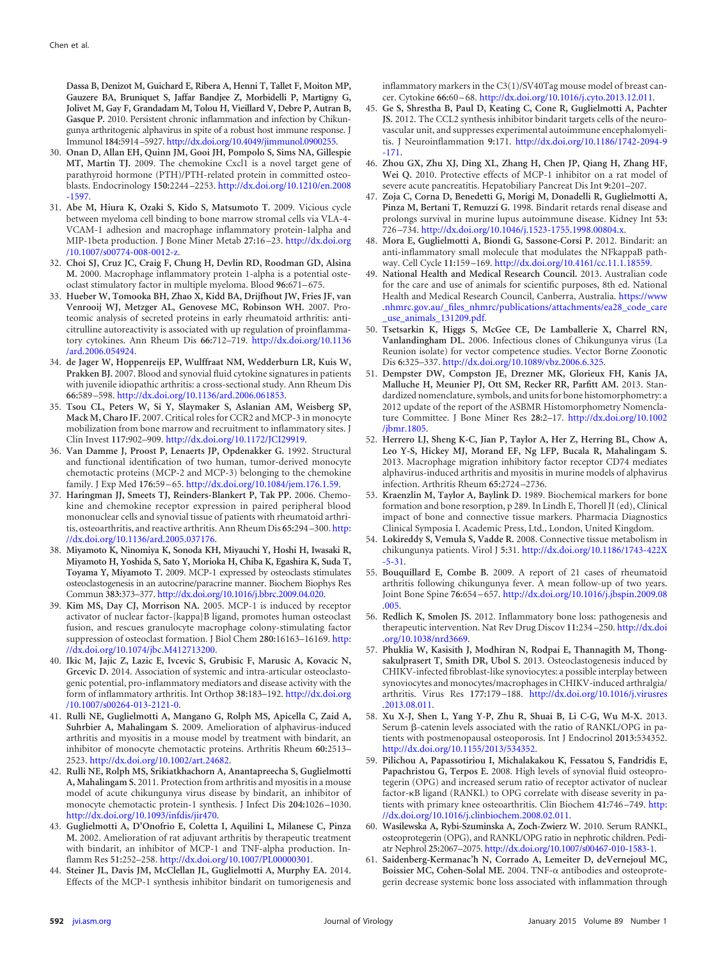**Dassa B, Denizot M, Guichard E, Ribera A, Henni T, Tallet F, Moiton MP, Gauzere BA, Bruniquet S, Jaffar Bandjee Z, Morbidelli P, Martigny G, Jolivet M, Gay F, Grandadam M, Tolou H, Vieillard V, Debre P, Autran B, Gasque P.** 2010. Persistent chronic inflammation and infection by Chikungunya arthritogenic alphavirus in spite of a robust host immune response. J Immunol **184:**5914 –5927. http://dx.doi.org/10.4049/jimmunol.0900255.

- <span id="page-11-0"></span>30. **Onan D, Allan EH, Quinn JM, Gooi JH, Pompolo S, Sims NA, Gillespie MT, Martin TJ.** 2009. The chemokine Cxcl1 is a novel target gene of parathyroid hormone (PTH)/PTH-related protein in committed osteoblasts. Endocrinology **150:**2244 –2253. http://dx.doi.org/10.1210/en.2008 -1597.
- <span id="page-11-1"></span>31. **Abe M, Hiura K, Ozaki S, Kido S, Matsumoto T.** 2009. Vicious cycle between myeloma cell binding to bone marrow stromal cells via VLA-4- VCAM-1 adhesion and macrophage inflammatory protein-1alpha and MIP-1beta production. J Bone Miner Metab **27:**16 –23. http://dx.doi.org /10.1007/s00774-008-0012-z.
- <span id="page-11-2"></span>32. **Choi SJ, Cruz JC, Craig F, Chung H, Devlin RD, Roodman GD, Alsina M.** 2000. Macrophage inflammatory protein 1-alpha is a potential osteoclast stimulatory factor in multiple myeloma. Blood **96:**671–675.
- <span id="page-11-3"></span>33. **Hueber W, Tomooka BH, Zhao X, Kidd BA, Drijfhout JW, Fries JF, van Venrooij WJ, Metzger AL, Genovese MC, Robinson WH.** 2007. Proteomic analysis of secreted proteins in early rheumatoid arthritis: anticitrulline autoreactivity is associated with up regulation of proinflammatory cytokines. Ann Rheum Dis **66:**712–719. http://dx.doi.org/10.1136 /ard.2006.054924.
- <span id="page-11-4"></span>34. **de Jager W, Hoppenreijs EP, Wulffraat NM, Wedderburn LR, Kuis W, Prakken BJ.** 2007. Blood and synovial fluid cytokine signatures in patients with juvenile idiopathic arthritis: a cross-sectional study. Ann Rheum Dis **66:**589 –598. http://dx.doi.org/10.1136/ard.2006.061853.
- <span id="page-11-5"></span>35. **Tsou CL, Peters W, Si Y, Slaymaker S, Aslanian AM, Weisberg SP, Mack M, Charo IF.** 2007. Critical roles for CCR2 and MCP-3 in monocyte mobilization from bone marrow and recruitment to inflammatory sites. J Clin Invest **117:**902–909. http://dx.doi.org/10.1172/JCI29919.
- <span id="page-11-6"></span>36. **Van Damme J, Proost P, Lenaerts JP, Opdenakker G.** 1992. Structural and functional identification of two human, tumor-derived monocyte chemotactic proteins (MCP-2 and MCP-3) belonging to the chemokine family. J Exp Med **176:**59 –65. http://dx.doi.org/10.1084/jem.176.1.59.
- <span id="page-11-7"></span>37. **Haringman JJ, Smeets TJ, Reinders-Blankert P, Tak PP.** 2006. Chemokine and chemokine receptor expression in paired peripheral blood mononuclear cells and synovial tissue of patients with rheumatoid arthritis, osteoarthritis, and reactive arthritis. Ann Rheum Dis **65:**294 –300. http: //dx.doi.org/10.1136/ard.2005.037176.
- <span id="page-11-8"></span>38. **Miyamoto K, Ninomiya K, Sonoda KH, Miyauchi Y, Hoshi H, Iwasaki R, Miyamoto H, Yoshida S, Sato Y, Morioka H, Chiba K, Egashira K, Suda T, Toyama Y, Miyamoto T.** 2009. MCP-1 expressed by osteoclasts stimulates osteoclastogenesis in an autocrine/paracrine manner. Biochem Biophys Res Commun **383:**373–377. http://dx.doi.org/10.1016/j.bbrc.2009.04.020.
- <span id="page-11-9"></span>39. **Kim MS, Day CJ, Morrison NA.** 2005. MCP-1 is induced by receptor activator of nuclear factor-{kappa}B ligand, promotes human osteoclast fusion, and rescues granulocyte macrophage colony-stimulating factor suppression of osteoclast formation. J Biol Chem **280:**16163–16169. http: //dx.doi.org/10.1074/jbc.M412713200.
- <span id="page-11-10"></span>40. **Ikic M, Jajic Z, Lazic E, Ivcevic S, Grubisic F, Marusic A, Kovacic N, Grcevic D.** 2014. Association of systemic and intra-articular osteoclastogenic potential, pro-inflammatory mediators and disease activity with the form of inflammatory arthritis. Int Orthop **38:**183–192. http://dx.doi.org /10.1007/s00264-013-2121-0.
- <span id="page-11-11"></span>41. **Rulli NE, Guglielmotti A, Mangano G, Rolph MS, Apicella C, Zaid A, Suhrbier A, Mahalingam S.** 2009. Amelioration of alphavirus-induced arthritis and myositis in a mouse model by treatment with bindarit, an inhibitor of monocyte chemotactic proteins. Arthritis Rheum **60:**2513– 2523. http://dx.doi.org/10.1002/art.24682.
- <span id="page-11-12"></span>42. **Rulli NE, Rolph MS, Srikiatkhachorn A, Anantapreecha S, Guglielmotti A, Mahalingam S.** 2011. Protection from arthritis and myositis in a mouse model of acute chikungunya virus disease by bindarit, an inhibitor of monocyte chemotactic protein-1 synthesis. J Infect Dis **204:**1026 –1030. http://dx.doi.org/10.1093/infdis/jir470.
- <span id="page-11-13"></span>43. **Guglielmotti A, D'Onofrio E, Coletta I, Aquilini L, Milanese C, Pinza M.** 2002. Amelioration of rat adjuvant arthritis by therapeutic treatment with bindarit, an inhibitor of MCP-1 and TNF-alpha production. Inflamm Res **51:**252–258. http://dx.doi.org/10.1007/PL00000301.
- <span id="page-11-14"></span>44. **Steiner JL, Davis JM, McClellan JL, Guglielmotti A, Murphy EA.** 2014. Effects of the MCP-1 synthesis inhibitor bindarit on tumorigenesis and

inflammatory markers in the C3(1)/SV40Tag mouse model of breast cancer. Cytokine **66:**60 –68. http://dx.doi.org/10.1016/j.cyto.2013.12.011.

- <span id="page-11-15"></span>45. **Ge S, Shrestha B, Paul D, Keating C, Cone R, Guglielmotti A, Pachter JS.** 2012. The CCL2 synthesis inhibitor bindarit targets cells of the neurovascular unit, and suppresses experimental autoimmune encephalomyelitis. J Neuroinflammation **9:**171. http://dx.doi.org/10.1186/1742-2094-9 -171.
- <span id="page-11-16"></span>46. **Zhou GX, Zhu XJ, Ding XL, Zhang H, Chen JP, Qiang H, Zhang HF, Wei Q.** 2010. Protective effects of MCP-1 inhibitor on a rat model of severe acute pancreatitis. Hepatobiliary Pancreat Dis Int **9:**201–207.
- <span id="page-11-17"></span>47. **Zoja C, Corna D, Benedetti G, Morigi M, Donadelli R, Guglielmotti A, Pinza M, Bertani T, Remuzzi G.** 1998. Bindarit retards renal disease and prolongs survival in murine lupus autoimmune disease. Kidney Int **53:** 726 –734. http://dx.doi.org/10.1046/j.1523-1755.1998.00804.x.
- <span id="page-11-18"></span>48. **Mora E, Guglielmotti A, Biondi G, Sassone-Corsi P.** 2012. Bindarit: an anti-inflammatory small molecule that modulates the NFkappaB pathway. Cell Cycle **11:**159 –169. http://dx.doi.org/10.4161/cc.11.1.18559.
- <span id="page-11-19"></span>49. **National Health and Medical Research Council.** 2013. Australian code for the care and use of animals for scientific purposes, 8th ed. National Health and Medical Research Council, Canberra, Australia. https://www .nhmrc.gov.au/\_files\_nhmrc/publications/attachments/ea28\_code\_care \_use\_animals\_131209.pdf.
- <span id="page-11-20"></span>50. **Tsetsarkin K, Higgs S, McGee CE, De Lamballerie X, Charrel RN, Vanlandingham DL.** 2006. Infectious clones of Chikungunya virus (La Reunion isolate) for vector competence studies. Vector Borne Zoonotic Dis **6:**325–337. http://dx.doi.org/10.1089/vbz.2006.6.325.
- <span id="page-11-21"></span>51. **Dempster DW, Compston JE, Drezner MK, Glorieux FH, Kanis JA, Malluche H, Meunier PJ, Ott SM, Recker RR, Parfitt AM.** 2013. Standardized nomenclature, symbols, and units for bone histomorphometry: a 2012 update of the report of the ASBMR Histomorphometry Nomenclature Committee. J Bone Miner Res **28:**2–17. http://dx.doi.org/10.1002 /jbmr.1805.
- <span id="page-11-22"></span>52. **Herrero LJ, Sheng K-C, Jian P, Taylor A, Her Z, Herring BL, Chow A, Leo Y-S, Hickey MJ, Morand EF, Ng LFP, Bucala R, Mahalingam S.** 2013. Macrophage migration inhibitory factor receptor CD74 mediates alphavirus-induced arthritis and myositis in murine models of alphavirus infection. Arthritis Rheum **65:**2724 –2736.
- <span id="page-11-23"></span>53. **Kraenzlin M, Taylor A, Baylink D.** 1989. Biochemical markers for bone formation and bone resorption, p 289. In Lindh E, Thorell JI (ed), Clinical impact of bone and connective tissue markers. Pharmacia Diagnostics Clinical Symposia I. Academic Press, Ltd., London, United Kingdom.
- <span id="page-11-25"></span><span id="page-11-24"></span>54. **Lokireddy S, Vemula S, Vadde R.** 2008. Connective tissue metabolism in chikungunya patients. Virol J **5:**31. http://dx.doi.org/10.1186/1743-422X -5-31.
- 55. **Bouquillard E, Combe B.** 2009. A report of 21 cases of rheumatoid arthritis following chikungunya fever. A mean follow-up of two years. Joint Bone Spine **76:**654 –657. http://dx.doi.org/10.1016/j.jbspin.2009.08 .005.
- <span id="page-11-27"></span><span id="page-11-26"></span>56. **Redlich K, Smolen JS.** 2012. Inflammatory bone loss: pathogenesis and therapeutic intervention. Nat Rev Drug Discov **11:**234 –250. http://dx.doi .org/10.1038/nrd3669.
- 57. **Phuklia W, Kasisith J, Modhiran N, Rodpai E, Thannagith M, Thongsakulprasert T, Smith DR, Ubol S.** 2013. Osteoclastogenesis induced by CHIKV-infected fibroblast-like synoviocytes: a possible interplay between synoviocytes and monocytes/macrophages in CHIKV-induced arthralgia/ arthritis. Virus Res **177:**179 –188. http://dx.doi.org/10.1016/j.virusres .2013.08.011.
- <span id="page-11-28"></span>58. **Xu X-J, Shen L, Yang Y-P, Zhu R, Shuai B, Li C-G, Wu M-X.** 2013. Serum  $\beta$ -catenin levels associated with the ratio of RANKL/OPG in patients with postmenopausal osteoporosis. Int J Endocrinol **2013:**534352. http://dx.doi.org/10.1155/2013/534352.
- <span id="page-11-29"></span>59. **Pilichou A, Papassotiriou I, Michalakakou K, Fessatou S, Fandridis E, Papachristou G, Terpos E.** 2008. High levels of synovial fluid osteoprotegerin (OPG) and increased serum ratio of receptor activator of nuclear factor--B ligand (RANKL) to OPG correlate with disease severity in patients with primary knee osteoarthritis. Clin Biochem **41:**746 –749. http: //dx.doi.org/10.1016/j.clinbiochem.2008.02.011.
- <span id="page-11-31"></span><span id="page-11-30"></span>60. **Wasilewska A, Rybi-Szuminska A, Zoch-Zwierz W.** 2010. Serum RANKL, osteoprotegerin (OPG), and RANKL/OPG ratio in nephrotic children. Pediatr Nephrol **25:**2067–2075. http://dx.doi.org/10.1007/s00467-010-1583-1.
- 61. **Saidenberg-Kermanac'h N, Corrado A, Lemeiter D, deVernejoul MC,** Boissier MC, Cohen-Solal ME. 2004. TNF- $\alpha$  antibodies and osteoprotegerin decrease systemic bone loss associated with inflammation through